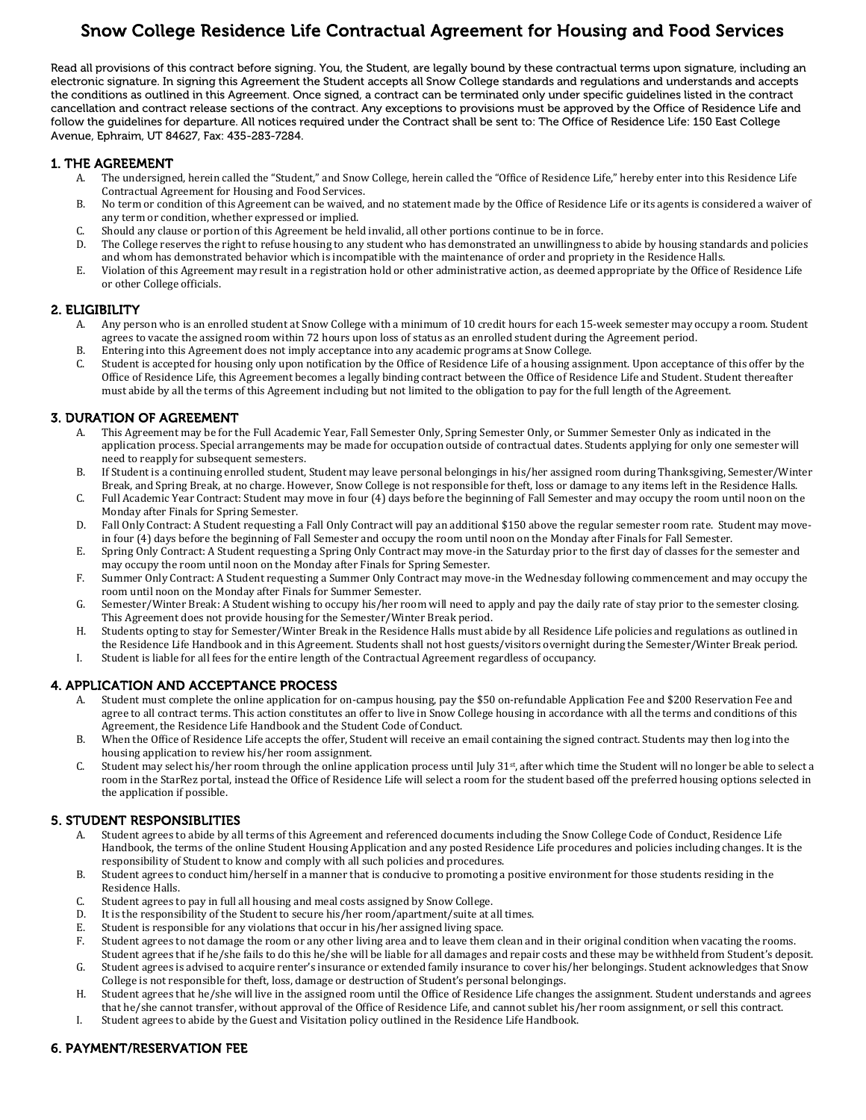# Snow College Residence Life Contractual Agreement for Housing and Food Services

 Read all provisions of this contract before signing. You, the Student, are legally bound by these contractual terms upon signature, including an electronic signature. In signing this Agreement the Student accepts all Snow College standards and regulations and understands and accepts the conditions as outlined in this Agreement. Once signed, a contract can be terminated only under specific guidelines listed in the contract cancellation and contract release sections of the contract. Any exceptions to provisions must be approved by the Office of Residence Life and follow the guidelines for departure. All notices required under the Contract shall be sent to: The Office of Residence Life: 150 East College Avenue, Ephraim, UT 84627, Fax: 435-283-7284.

## 1. THE AGREEMENT

- A. The undersigned, herein called the "Student," and Snow College, herein called the "Office of Residence Life," hereby enter into this Residence Life Contractual Agreement for Housing and Food Services.
- B. No term or condition of this Agreement can be waived, and no statement made by the Office of Residence Life or its agents is considered a waiver of any term or condition, whether expressed or implied.
- C. Should any clause or portion of this Agreement be held invalid, all other portions continue to be in force.
- D. The College reserves the right to refuse housing to any student who has demonstrated an unwillingness to abide by housing standards and policies and whom has demonstrated behavior which is incompatible with the maintenance of order and propriety in the Residence Halls.
- E. Violation of this Agreement may result in a registration hold or other administrative action, as deemed appropriate by the Office of Residence Life or other College officials.

#### 2. ELIGIBILITY

- A. Any person who is an enrolled student at Snow College with a minimum of 10 credit hours for each 15-week semester may occupy a room. Student agrees to vacate the assigned room within 72 hours upon loss of status as an enrolled student during the Agreement period.
- B. Entering into this Agreement does not imply acceptance into any academic programs at Snow College.<br>C. Student is accepted for housing only upon notification by the Office of Residence Life of a housing assignti
- Student is accepted for housing only upon notification by the Office of Residence Life of a housing assignment. Upon acceptance of this offer by the Office of Residence Life, this Agreement becomes a legally binding contract between the Office of Residence Life and Student. Student thereafter must abide by all the terms of this Agreement including but not limited to the obligation to pay for the full length of the Agreement.

#### 3. DURATION OF AGREEMENT

- This Agreement may be for the Full Academic Year, Fall Semester Only, Spring Semester Only, or Summer Semester Only as indicated in the application process. Special arrangements may be made for occupation outside of contractual dates. Students applying for only one semester will need to reapply for subsequent semesters.
- B. If Student is a continuing enrolled student, Student may leave personal belongings in his/her assigned room during Thanksgiving, Semester/Winter Break, and Spring Break, at no charge. However, Snow College is not responsible for theft, loss or damage to any items left in the Residence Halls.
- C. Full Academic Year Contract: Student may move in four (4) days before the beginning of Fall Semester and may occupy the room until noon on the Monday after Finals for Spring Semester.
- D. Fall Only Contract: A Student requesting a Fall Only Contract will pay an additional \$150 above the regular semester room rate. Student may movein four (4) days before the beginning of Fall Semester and occupy the room until noon on the Monday after Finals for Fall Semester.
- E. Spring Only Contract: A Student requesting a Spring Only Contract may move-in the Saturday prior to the first day of classes for the semester and may occupy the room until noon on the Monday after Finals for Spring Semester.
- F. Summer Only Contract: A Student requesting a Summer Only Contract may move-in the Wednesday following commencement and may occupy the room until noon on the Monday after Finals for Summer Semester.
- G. Semester/Winter Break: A Student wishing to occupy his/her room will need to apply and pay the daily rate of stay prior to the semester closing. This Agreement does not provide housing for the Semester/Winter Break period.
- H. Students opting to stay for Semester/Winter Break in the Residence Halls must abide by all Residence Life policies and regulations as outlined in the Residence Life Handbook and in this Agreement. Students shall not host guests/visitors overnight during the Semester/Winter Break period.
- I. Student is liable for all fees for the entire length of the Contractual Agreement regardless of occupancy.

# 4. APPLICATION AND ACCEPTANCE PROCESS

- A. Student must complete the online application for on-campus housing, pay the \$50 on-refundable Application Fee and \$200 Reservation Fee and agree to all contract terms. This action constitutes an offer to live in Snow College housing in accordance with all the terms and conditions of this Agreement, the Residence Life Handbook and the Student Code of Conduct.
- B. When the Office of Residence Life accepts the offer, Student will receive an email containing the signed contract. Students may then log into the housing application to review his/her room assignment.
- C. Student may select his/her room through the online application process until July  $31<sup>st</sup>$ , after which time the Student will no longer be able to select a room in the StarRez portal, instead the Office of Residence Life will select a room for the student based off the preferred housing options selected in the application if possible.

# 5. STUDENT RESPONSIBLITIES

- A. Student agrees to abide by all terms of this Agreement and referenced documents including the Snow College Code of Conduct, Residence Life Handbook, the terms of the online Student Housing Application and any posted Residence Life procedures and policies including changes. It is the responsibility of Student to know and comply with all such policies and procedures.
- B. Student agrees to conduct him/herself in a manner that is conducive to promoting a positive environment for those students residing in the Residence Halls.
- C. Student agrees to pay in full all housing and meal costs assigned by Snow College.<br>D. It is the responsibility of the Student to secure his/her room/anartment/suite at a
- D. It is the responsibility of the Student to secure his/her room/apartment/suite at all times.<br>E. Student is responsible for any violations that occur in his/her assigned living space.
- E. Student is responsible for any violations that occur in his/her assigned living space.<br>F. Student agrees to not damage the room or any other living area and to leave them cl
- Student agrees to not damage the room or any other living area and to leave them clean and in their original condition when vacating the rooms. Student agrees that if he/she fails to do this he/she will be liable for all damages and repair costs and these may be withheld from Student's deposit. G. Student agrees is advised to acquire renter's insurance or extended family insurance to cover his/her belongings. Student acknowledges that Snow
- College is not responsible for theft, loss, damage or destruction of Student's personal belongings.
- H. Student agrees that he/she will live in the assigned room until the Office of Residence Life changes the assignment. Student understands and agrees that he/she cannot transfer, without approval of the Office of Residence Life, and cannot sublet his/her room assignment, or sell this contract.
- I. Student agrees to abide by the Guest and Visitation policy outlined in the Residence Life Handbook.

# 6. PAYMENT/RESERVATION FEE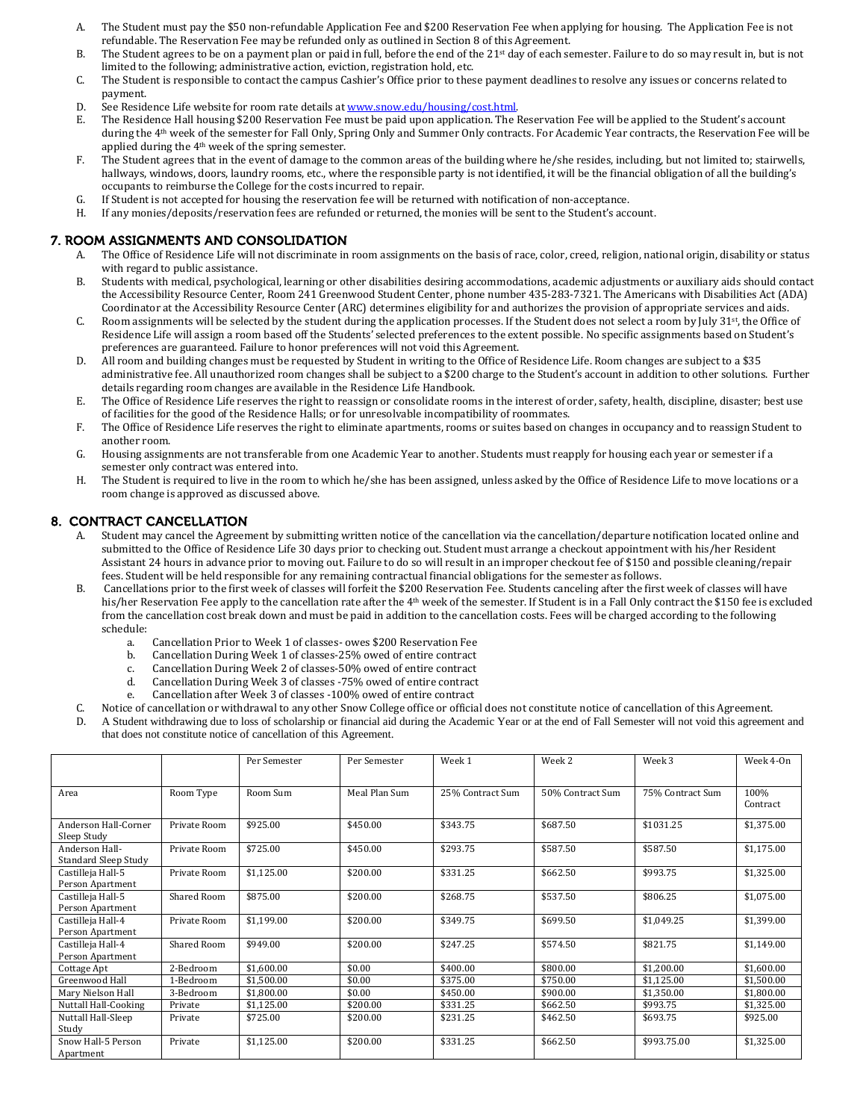- A. The Student must pay the \$50 non-refundable Application Fee and \$200 Reservation Fee when applying for housing. The Application Fee is not refundable. The Reservation Fee may be refunded only as outlined in Section 8 of this Agreement.
- B. The Student agrees to be on a payment plan or paid in full, before the end of the 21<sup>st</sup> day of each semester. Failure to do so may result in, but is not limited to the following; administrative action, eviction, registration hold, etc.
- C. The Student is responsible to contact the campus Cashier's Office prior to these payment deadlines to resolve any issues or concerns related to payment.
- D. See Residence Life website for room rate details at <u>www.snow.edu/housing/cost.html</u>.<br>E. The Residence Hall housing \$200 Reservation Fee must be paid upon application. The I
- The Residence Hall housing \$200 Reservation Fee must be paid upon application. The Reservation Fee will be applied to the Student's account during the 4th week of the semester for Fall Only, Spring Only and Summer Only contracts. For Academic Year contracts, the Reservation Fee will be applied during the 4th week of the spring semester.
- F. The Student agrees that in the event of damage to the common areas of the building where he/she resides, including, but not limited to; stairwells, hallways, windows, doors, laundry rooms, etc., where the responsible party is not identified, it will be the financial obligation of all the building's occupants to reimburse the College for the costs incurred to repair.
- G. If Student is not accepted for housing the reservation fee will be returned with notification of non-acceptance.
- If any monies/deposits/reservation fees are refunded or returned, the monies will be sent to the Student's account.

#### 7. ROOM ASSIGNMENTS AND CONSOLIDATION

- A. The Office of Residence Life will not discriminate in room assignments on the basis of race, color, creed, religion, national origin, disability or status with regard to public assistance.
- B. Students with medical, psychological, learning or other disabilities desiring accommodations, academic adjustments or auxiliary aids should contact the Accessibility Resource Center, Room 241 Greenwood Student Center, phone number 435-283-7321. The Americans with Disabilities Act (ADA) Coordinator at the Accessibility Resource Center (ARC) determines eligibility for and authorizes the provision of appropriate services and aids.
- C. Room assignments will be selected by the student during the application processes. If the Student does not select a room by July  $31st$ , the Office of Residence Life will assign a room based off the Students' selected preferences to the extent possible. No specific assignments based on Student's preferences are guaranteed. Failure to honor preferences will not void this Agreement.
- D. All room and building changes must be requested by Student in writing to the Office of Residence Life. Room changes are subject to a \$35 administrative fee. All unauthorized room changes shall be subject to a \$200 charge to the Student's account in addition to other solutions. Further details regarding room changes are available in the Residence Life Handbook.
- E. The Office of Residence Life reserves the right to reassign or consolidate rooms in the interest of order, safety, health, discipline, disaster; best use of facilities for the good of the Residence Halls; or for unresolvable incompatibility of roommates.
- F. The Office of Residence Life reserves the right to eliminate apartments, rooms or suites based on changes in occupancy and to reassign Student to another room.
- G. Housing assignments are not transferable from one Academic Year to another. Students must reapply for housing each year or semester if a semester only contract was entered into.
- H. The Student is required to live in the room to which he/she has been assigned, unless asked by the Office of Residence Life to move locations or a room change is approved as discussed above.

#### 8. CONTRACT CANCELLATION

- A. Student may cancel the Agreement by submitting written notice of the cancellation via the cancellation/departure notification located online and submitted to the Office of Residence Life 30 days prior to checking out. Student must arrange a checkout appointment with his/her Resident Assistant 24 hours in advance prior to moving out. Failure to do so will result in an improper checkout fee of \$150 and possible cleaning/repair fees. Student will be held responsible for any remaining contractual financial obligations for the semester as follows.
- B. Cancellations prior to the first week of classes will forfeit the \$200 Reservation Fee. Students canceling after the first week of classes will have his/her Reservation Fee apply to the cancellation rate after the 4<sup>th</sup> week of the semester. If Student is in a Fall Only contract the \$150 fee is excluded from the cancellation cost break down and must be paid in addition to the cancellation costs. Fees will be charged according to the following schedule:
	- a. Cancellation Prior to Week 1 of classes- owes \$200 Reservation Fee
	- b. Cancellation During Week 1 of classes-25% owed of entire contract c. Cancellation During Week 2 of classes-50% owed of entire contract
	- c. Cancellation During Week 2 of classes-50% owed of entire contract
	- d. Cancellation During Week 3 of classes -75% owed of entire contract
	- Cancellation after Week 3 of classes -100% owed of entire contract
- C. Notice of cancellation or withdrawal to any other Snow College office or official does not constitute notice of cancellation of this Agreement.<br>D. A Student withdrawing due to loss of scholarship or financial aid during
- A Student withdrawing due to loss of scholarship or financial aid during the Academic Year or at the end of Fall Semester will not void this agreement and that does not constitute notice of cancellation of this Agreement.

|                                            |              | Per Semester | Per Semester  | Week 1           | Week 2           | Week 3           | Week 4-0n        |
|--------------------------------------------|--------------|--------------|---------------|------------------|------------------|------------------|------------------|
| Area                                       | Room Type    | Room Sum     | Meal Plan Sum | 25% Contract Sum | 50% Contract Sum | 75% Contract Sum | 100%<br>Contract |
| <b>Anderson Hall-Corner</b><br>Sleep Study | Private Room | \$925.00     | \$450.00      | \$343.75         | \$687.50         | \$1031.25        | \$1,375.00       |
| Anderson Hall-<br>Standard Sleep Study     | Private Room | \$725.00     | \$450.00      | \$293.75         | \$587.50         | \$587.50         | \$1,175.00       |
| Castilleja Hall-5<br>Person Apartment      | Private Room | \$1,125.00   | \$200.00      | \$331.25         | \$662.50         | \$993.75         | \$1,325.00       |
| Castilleja Hall-5<br>Person Apartment      | Shared Room  | \$875.00     | \$200.00      | \$268.75         | \$537.50         | \$806.25         | \$1,075.00       |
| Castilleja Hall-4<br>Person Apartment      | Private Room | \$1,199.00   | \$200.00      | \$349.75         | \$699.50         | \$1,049.25       | \$1,399.00       |
| Castilleja Hall-4<br>Person Apartment      | Shared Room  | \$949.00     | \$200.00      | \$247.25         | \$574.50         | \$821.75         | \$1,149.00       |
| Cottage Apt                                | 2-Bedroom    | \$1,600.00   | \$0.00        | \$400.00         | \$800.00         | \$1,200.00       | \$1,600.00       |
| Greenwood Hall                             | 1-Bedroom    | \$1,500.00   | \$0.00        | \$375.00         | \$750.00         | \$1,125.00       | \$1,500.00       |
| Mary Nielson Hall                          | 3-Bedroom    | \$1,800.00   | \$0.00        | \$450.00         | \$900.00         | \$1,350.00       | \$1,800.00       |
| <b>Nuttall Hall-Cooking</b>                | Private      | \$1,125.00   | \$200.00      | \$331.25         | \$662.50         | \$993.75         | \$1,325.00       |
| Nuttall Hall-Sleep<br>Study                | Private      | \$725.00     | \$200.00      | \$231.25         | \$462.50         | \$693.75         | \$925.00         |
| Snow Hall-5 Person<br>Apartment            | Private      | \$1,125.00   | \$200.00      | \$331.25         | \$662.50         | \$993.75.00      | \$1,325.00       |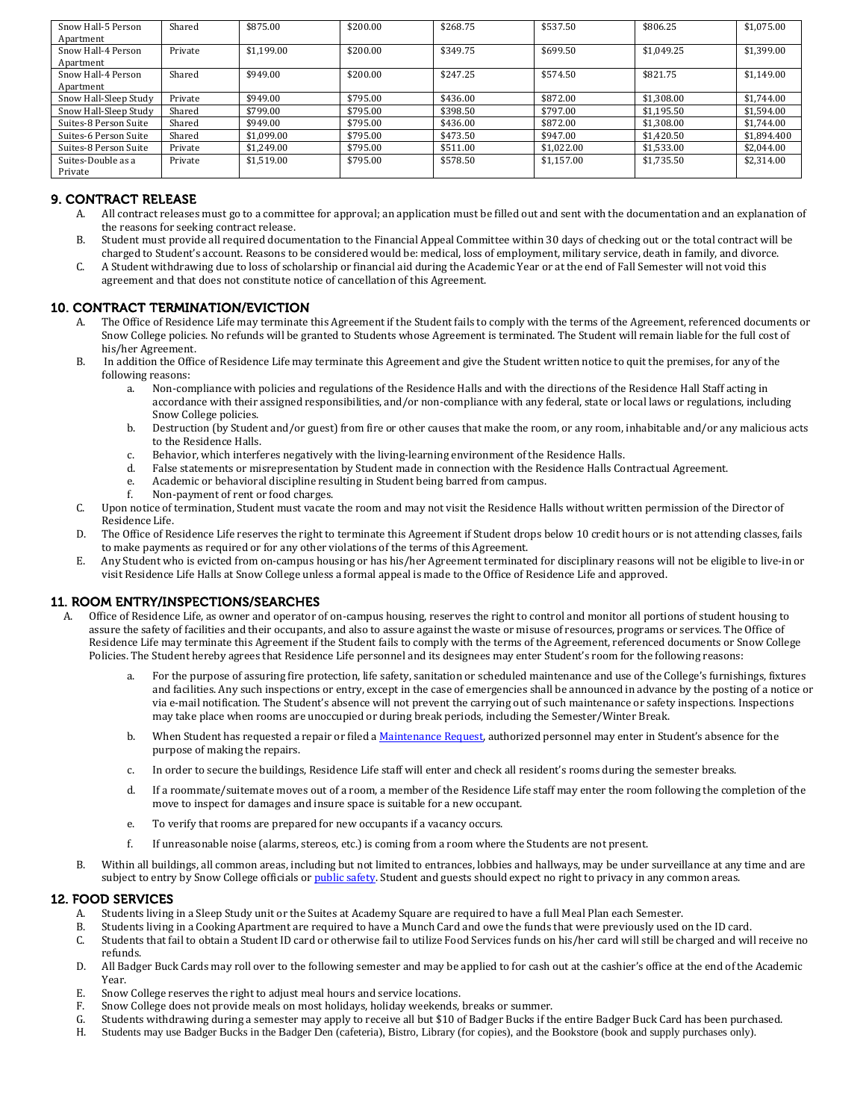| Snow Hall-5 Person<br>Apartment | Shared  | \$875.00   | \$200.00 | \$268.75 | \$537.50   | \$806.25   | \$1,075.00  |
|---------------------------------|---------|------------|----------|----------|------------|------------|-------------|
| Snow Hall-4 Person<br>Apartment | Private | \$1,199.00 | \$200.00 | \$349.75 | \$699.50   | \$1.049.25 | \$1,399.00  |
| Snow Hall-4 Person<br>Apartment | Shared  | \$949.00   | \$200.00 | \$247.25 | \$574.50   | \$821.75   | \$1,149.00  |
| Snow Hall-Sleep Study           | Private | \$949.00   | \$795.00 | \$436.00 | \$872.00   | \$1.308.00 | \$1,744.00  |
| Snow Hall-Sleep Study           | Shared  | \$799.00   | \$795.00 | \$398.50 | \$797.00   | \$1.195.50 | \$1.594.00  |
| Suites-8 Person Suite           | Shared  | \$949.00   | \$795.00 | \$436.00 | \$872.00   | \$1,308.00 | \$1,744.00  |
| Suites-6 Person Suite           | Shared  | \$1,099.00 | \$795.00 | \$473.50 | \$947.00   | \$1,420.50 | \$1,894.400 |
| Suites-8 Person Suite           | Private | \$1.249.00 | \$795.00 | \$511.00 | \$1,022.00 | \$1,533.00 | \$2,044.00  |
| Suites-Double as a<br>Private   | Private | \$1.519.00 | \$795.00 | \$578.50 | \$1.157.00 | \$1.735.50 | \$2,314.00  |

# 9. CONTRACT RELEASE

- A. All contract releases must go to a committee for approval; an application must be filled out and sent with the documentation and an explanation of the reasons for seeking contract release.
- B. Student must provide all required documentation to the Financial Appeal Committee within 30 days of checking out or the total contract will be charged to Student's account. Reasons to be considered would be: medical, loss of employment, military service, death in family, and divorce.
- C. A Student withdrawing due to loss of scholarship or financial aid during the Academic Year or at the end of Fall Semester will not void this agreement and that does not constitute notice of cancellation of this Agreement.

#### 10. CONTRACT TERMINATION/EVICTION

- A. The Office of Residence Life may terminate this Agreement if the Student fails to comply with the terms of the Agreement, referenced documents or Snow College policies. No refunds will be granted to Students whose Agreement is terminated. The Student will remain liable for the full cost of his/her Agreement.
- B. In addition the Office of Residence Life may terminate this Agreement and give the Student written notice to quit the premises, for any of the following reasons:<br>a. Non-con
	- a. Non-compliance with policies and regulations of the Residence Halls and with the directions of the Residence Hall Staff acting in accordance with their assigned responsibilities, and/or non-compliance with any federal, state or local laws or regulations, including Snow College policies.
	- b. Destruction (by Student and/or guest) from fire or other causes that make the room, or any room, inhabitable and/or any malicious acts to the Residence Halls.
	- c. Behavior, which interferes negatively with the living-learning environment of the Residence Halls.
	- d. False statements or misrepresentation by Student made in connection with the Residence Halls Contractual Agreement.<br>e. Academic or behavioral discipline resulting in Student being barred from campus.
	- e. Academic or behavioral discipline resulting in Student being barred from campus.<br>f. Non-payment of rent or food charges.
	- Non-payment of rent or food charges.
- C. Upon notice of termination, Student must vacate the room and may not visit the Residence Halls without written permission of the Director of Residence Life.
- D. The Office of Residence Life reserves the right to terminate this Agreement if Student drops below 10 credit hours or is not attending classes, fails to make payments as required or for any other violations of the terms of this Agreement.
- E. Any Student who is evicted from on-campus housing or has his/her Agreement terminated for disciplinary reasons will not be eligible to live-in or visit Residence Life Halls at Snow College unless a formal appeal is made to the Office of Residence Life and approved.

#### 11. ROOM ENTRY/INSPECTIONS/SEARCHES

- A. Office of Residence Life, as owner and operator of on-campus housing, reserves the right to control and monitor all portions of student housing to assure the safety of facilities and their occupants, and also to assure against the waste or misuse of resources, programs or services. The Office of Residence Life may terminate this Agreement if the Student fails to comply with the terms of the Agreement, referenced documents or Snow College Policies. The Student hereby agrees that Residence Life personnel and its designees may enter Student's room for the following reasons:
	- a. For the purpose of assuring fire protection, life safety, sanitation or scheduled maintenance and use of the College's furnishings, fixtures and facilities. Any such inspections or entry, except in the case of emergencies shall be announced in advance by the posting of a notice or via e-mail notification. The Student's absence will not prevent the carrying out of such maintenance or safety inspections. Inspections may take place when rooms are unoccupied or during break periods, including the Semester/Winter Break.
	- b. When Student has requested a repair or filed [a Maintenance Request,](http://www.snow.edu/housing/maintenance.html) authorized personnel may enter in Student's absence for the purpose of making the repairs.
	- c. In order to secure the buildings, Residence Life staff will enter and check all resident's rooms during the semester breaks.
	- d. If a roommate/suitemate moves out of a room, a member of the Residence Life staff may enter the room following the completion of the move to inspect for damages and insure space is suitable for a new occupant.
	- e. To verify that rooms are prepared for new occupants if a vacancy occurs.
	- f. If unreasonable noise (alarms, stereos, etc.) is coming from a room where the Students are not present.
	- B. Within all buildings, all common areas, including but not limited to entrances, lobbies and hallways, may be under surveillance at any time and are subject to entry by Snow College officials o[r public safety.](http://www.snow.edu/safety/) Student and guests should expect no right to privacy in any common areas.

#### 12. FOOD SERVICES

- A. Students living in a Sleep Study unit or the Suites at Academy Square are required to have a full Meal Plan each Semester.<br>B. Students living in a Cooking Apartment are required to have a Munch Card and owe the funds th
- B. Students living in a Cooking Apartment are required to have a Munch Card and owe the funds that were previously used on the ID card.<br>C. Students that fail to obtain a Student ID card or otherwise fail to utilize Food Se
- Students that fail to obtain a Student ID card or otherwise fail to utilize Food Services funds on his/her card will still be charged and will receive no refunds.
- D. All Badger Buck Cards may roll over to the following semester and may be applied to for cash out at the cashier's office at the end of the Academic Year.
- E. Snow College reserves the right to adjust meal hours and service locations.<br>F. Snow College does not provide meals on most holidays holiday weekends.
- F. Snow College does not provide meals on most holidays, holiday weekends, breaks or summer.<br>G. Students withdrawing during a semester may apply to receive all but \$10 of Badger Bucks if th
- G. Students withdrawing during a semester may apply to receive all but \$10 of Badger Bucks if the entire Badger Buck Card has been purchased.<br>H. Students may use Badger Bucks in the Badger Den (cafeteria). Bistro Library (
- Students may use Badger Bucks in the Badger Den (cafeteria), Bistro, Library (for copies), and the Bookstore (book and supply purchases only).